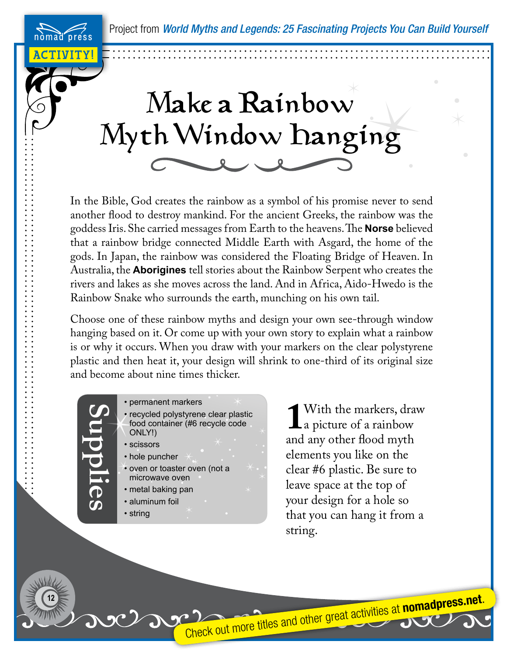Project from *World Myths and Legends: 25 Fascinating Projects You Can Build Yourself*

ACTIVITY!

press

## Make a Rainbow Myth Window Hanging

In the Bible, God creates the rainbow as a symbol of his promise never to send another flood to destroy mankind. For the ancient Greeks, the rainbow was the goddess Iris. She carried messages from Earth to the heavens. The **Norse** believed that a rainbow bridge connected Middle Earth with Asgard, the home of the gods. In Japan, the rainbow was considered the Floating Bridge of Heaven. In Australia, the **Aborigines** tell stories about the Rainbow Serpent who creates the rivers and lakes as she moves across the land. And in Africa, Aido-Hwedo is the Rainbow Snake who surrounds the earth, munching on his own tail.

Choose one of these rainbow myths and design your own see-through window hanging based on it. Or come up with your own story to explain what a rainbow is or why it occurs. When you draw with your markers on the clear polystyrene plastic and then heat it, your design will shrink to one-third of its original size and become about nine times thicker.

> • permanent markers • recycled polystyrene clear plastic food container (#6 recycle code ONLY!)

• scissors

• hole puncher

**Supplies**

- oven or toaster oven (not a microwave oven
- metal baking pan
- aluminum foil
- string

**12**

**1** With the markers, draw<br>a picture of a rainbow<br>and any other flood myth a picture of a rainbow and any other flood myth elements you like on the clear #6 plastic. Be sure to leave space at the top of your design for a hole so that you can hang it from a string.

Check out more titles and other great activities at **nomadpress.net**.